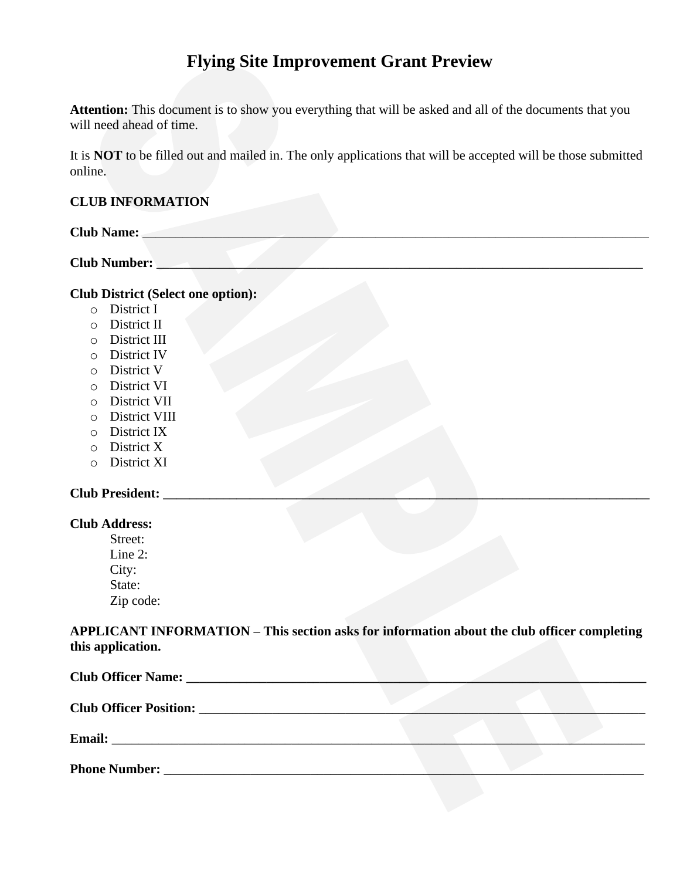# **Flying Site Improvement Grant Preview**

**Attention:** This document is to show you everything that will be asked and all of the documents that you will need ahead of time.

It is **NOT** to be filled out and mailed in. The only applications that will be accepted will be those submitted online.

## **CLUB INFORMATION**

| <b>Club Name:</b> |  |  |  |
|-------------------|--|--|--|
|                   |  |  |  |

**Club Number:** \_\_\_\_\_\_\_\_\_\_\_\_\_\_\_\_\_\_\_\_\_\_\_\_\_\_\_\_\_\_\_\_\_\_\_\_\_\_\_\_\_\_\_\_\_\_\_\_\_\_\_\_\_\_\_\_\_\_\_\_\_\_\_\_\_\_\_\_\_\_\_\_\_

# **Club District (Select one option):**

- o District I
- o District II
- o District III
- o District IV
- o District V
- o District VI
- o District VII
- o District VIII
- o District IX
- o District X
- o District XI

#### **Club President: \_\_\_\_\_\_\_\_\_\_\_\_\_\_\_\_\_\_\_\_\_\_\_\_\_\_\_\_\_\_\_\_\_\_\_\_\_\_\_\_\_\_\_\_\_\_\_\_\_\_\_\_\_\_\_\_\_\_\_\_\_\_\_\_\_\_\_\_\_\_\_\_\_**

#### **Club Address:**

Street: Line 2: City: State: Zip code:

**APPLICANT INFORMATION – This section asks for information about the club officer completing this application.**

| Club Officer Name: 2008. [19] Daniel Manner Manner Manner Manner Manner Manner Manner Manner Manner Manner Manner Manner Manner Manner Manner Manner Manner Manner Manner Manner Manner Manner Manner Manner Manner Manner Man |  |  |  |  |
|--------------------------------------------------------------------------------------------------------------------------------------------------------------------------------------------------------------------------------|--|--|--|--|
|                                                                                                                                                                                                                                |  |  |  |  |
| <b>Email:</b><br><u> 1980 - Jan Sterling von de Frankrijke kommunistiske kommunistiske kommunistiske kommunistiske kommunistiske k</u>                                                                                         |  |  |  |  |
| <b>Phone Number:</b>                                                                                                                                                                                                           |  |  |  |  |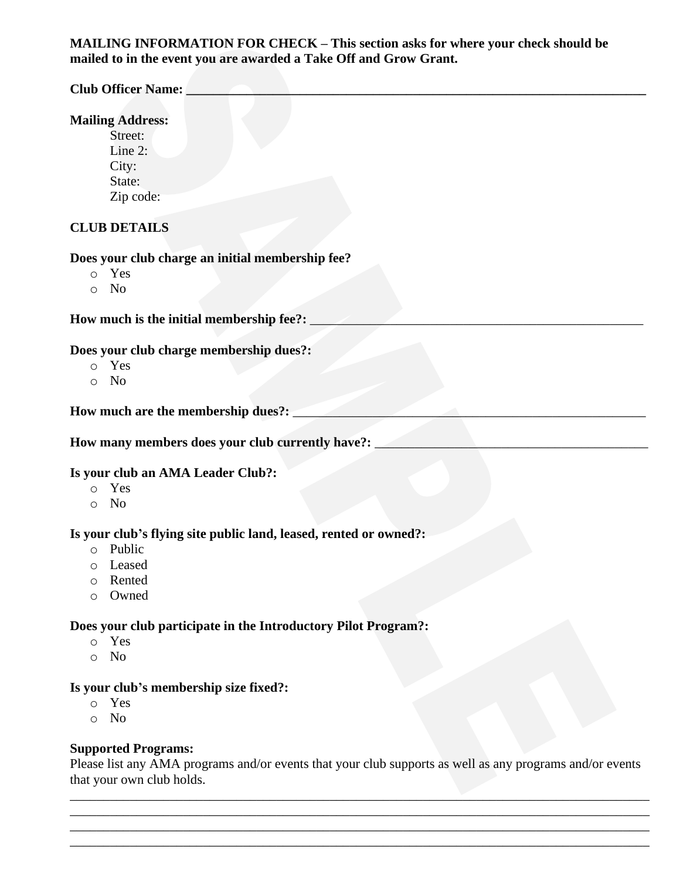# **MAILING INFORMATION FOR CHECK – This section asks for where your check should be mailed to in the event you are awarded a Take Off and Grow Grant.**

# **Club Officer Name: \_\_\_\_\_\_\_\_\_\_\_\_\_\_\_\_\_\_\_\_\_\_\_\_\_\_\_\_\_\_\_\_\_\_\_\_\_\_\_\_\_\_\_\_\_\_\_\_\_\_\_\_\_\_\_\_\_\_\_\_\_\_\_\_\_\_\_\_\_ Mailing Address:** Street: Line 2: City: State: Zip code: **CLUB DETAILS Does your club charge an initial membership fee?** o Yes o No How much is the initial membership fee?: **Does your club charge membership dues?:** o Yes o No How much are the membership dues?: How many members does your club currently have?: **Is your club an AMA Leader Club?:** o Yes o No **Is your club's flying site public land, leased, rented or owned?:** o Public o Leased o Rented o Owned **Does your club participate in the Introductory Pilot Program?:** o Yes o No **Is your club's membership size fixed?:** o Yes

o No

#### **Supported Programs:**

Please list any AMA programs and/or events that your club supports as well as any programs and/or events that your own club holds.

\_\_\_\_\_\_\_\_\_\_\_\_\_\_\_\_\_\_\_\_\_\_\_\_\_\_\_\_\_\_\_\_\_\_\_\_\_\_\_\_\_\_\_\_\_\_\_\_\_\_\_\_\_\_\_\_\_\_\_\_\_\_\_\_\_\_\_\_\_\_\_\_\_\_\_\_\_\_\_\_\_\_\_\_\_\_\_ \_\_\_\_\_\_\_\_\_\_\_\_\_\_\_\_\_\_\_\_\_\_\_\_\_\_\_\_\_\_\_\_\_\_\_\_\_\_\_\_\_\_\_\_\_\_\_\_\_\_\_\_\_\_\_\_\_\_\_\_\_\_\_\_\_\_\_\_\_\_\_\_\_\_\_\_\_\_\_\_\_\_\_\_\_\_\_ \_\_\_\_\_\_\_\_\_\_\_\_\_\_\_\_\_\_\_\_\_\_\_\_\_\_\_\_\_\_\_\_\_\_\_\_\_\_\_\_\_\_\_\_\_\_\_\_\_\_\_\_\_\_\_\_\_\_\_\_\_\_\_\_\_\_\_\_\_\_\_\_\_\_\_\_\_\_\_\_\_\_\_\_\_\_\_ \_\_\_\_\_\_\_\_\_\_\_\_\_\_\_\_\_\_\_\_\_\_\_\_\_\_\_\_\_\_\_\_\_\_\_\_\_\_\_\_\_\_\_\_\_\_\_\_\_\_\_\_\_\_\_\_\_\_\_\_\_\_\_\_\_\_\_\_\_\_\_\_\_\_\_\_\_\_\_\_\_\_\_\_\_\_\_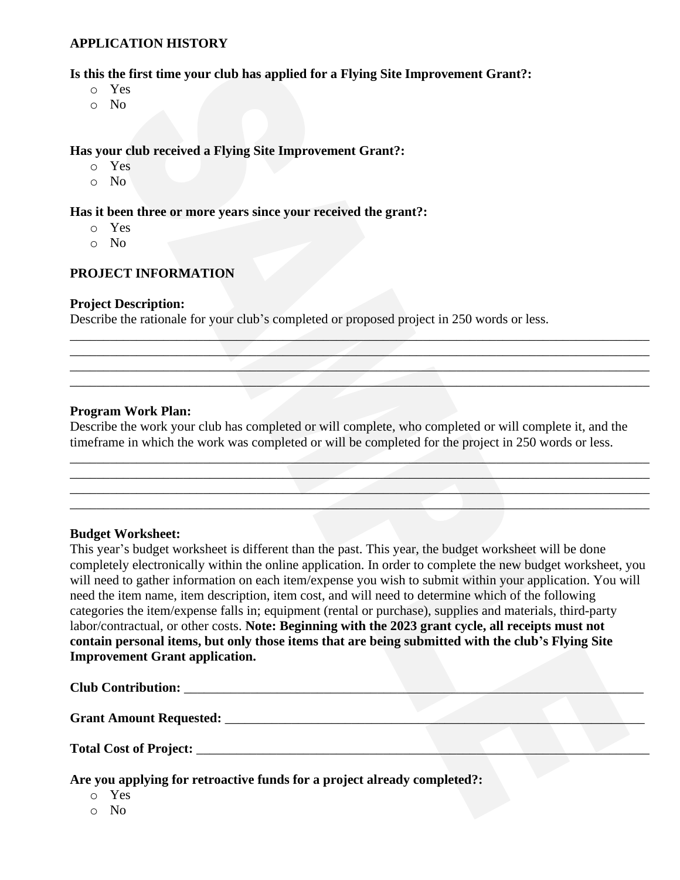#### **APPLICATION HISTORY**

**Is this the first time your club has applied for a Flying Site Improvement Grant?:**

- o Yes
- o No

#### **Has your club received a Flying Site Improvement Grant?:**

- o Yes
- o No

#### **Has it been three or more years since your received the grant?:**

- o Yes
- o No

## **PROJECT INFORMATION**

#### **Project Description:**

Describe the rationale for your club's completed or proposed project in 250 words or less.

#### **Program Work Plan:**

Describe the work your club has completed or will complete, who completed or will complete it, and the timeframe in which the work was completed or will be completed for the project in 250 words or less.

\_\_\_\_\_\_\_\_\_\_\_\_\_\_\_\_\_\_\_\_\_\_\_\_\_\_\_\_\_\_\_\_\_\_\_\_\_\_\_\_\_\_\_\_\_\_\_\_\_\_\_\_\_\_\_\_\_\_\_\_\_\_\_\_\_\_\_\_\_\_\_\_\_\_\_\_\_\_\_\_\_\_\_\_\_\_\_  $\mathcal{L} = \{ \mathcal{L} \mid \mathcal{L} \text{ and } \mathcal{L} \text{ and } \mathcal{L} \text{ and } \mathcal{L} \text{ are } \mathcal{L} \}$  $\hspace{.2cm}$   $\hspace{.2cm}$   $\hspace{.2cm}$   $\hspace{.2cm}$   $\hspace{.2cm}$   $\hspace{.2cm}$   $\hspace{.2cm}$   $\hspace{.2cm}$   $\hspace{.2cm}$   $\hspace{.2cm}$   $\hspace{.2cm}$   $\hspace{.2cm}$   $\hspace{.2cm}$   $\hspace{.2cm}$   $\hspace{.2cm}$   $\hspace{.2cm}$   $\hspace{.2cm}$   $\hspace{.2cm}$   $\hspace{.2cm}$   $\hspace{.2cm}$   $\_$  , and the set of the set of the set of the set of the set of the set of the set of the set of the set of the set of the set of the set of the set of the set of the set of the set of the set of the set of the set of th

 $\mathcal{L} = \{ \mathcal{L} \mid \mathcal{L} \in \mathcal{L} \}$  and the set of the set of the set of the set of the set of the set of the set of the set of the set of the set of the set of the set of the set of the set of the set of the set of the s \_\_\_\_\_\_\_\_\_\_\_\_\_\_\_\_\_\_\_\_\_\_\_\_\_\_\_\_\_\_\_\_\_\_\_\_\_\_\_\_\_\_\_\_\_\_\_\_\_\_\_\_\_\_\_\_\_\_\_\_\_\_\_\_\_\_\_\_\_\_\_\_\_\_\_\_\_\_\_\_\_\_\_\_\_\_\_  $\mathcal{L} = \{ \mathcal{L} \mid \mathcal{L} = \{ \mathcal{L} \mid \mathcal{L} = \{ \mathcal{L} \mid \mathcal{L} = \{ \mathcal{L} \mid \mathcal{L} = \{ \mathcal{L} \mid \mathcal{L} = \{ \mathcal{L} \mid \mathcal{L} = \{ \mathcal{L} \mid \mathcal{L} = \{ \mathcal{L} \mid \mathcal{L} = \{ \mathcal{L} \mid \mathcal{L} = \{ \mathcal{L} \mid \mathcal{L} = \{ \mathcal{L} \mid \mathcal{L} = \{ \mathcal{L} \mid \mathcal{L} = \{ \mathcal{L} \$  $\mathcal{L} = \{ \mathcal{L} \mid \mathcal{L} \text{ and } \mathcal{L} \text{ and } \mathcal{L} \text{ and } \mathcal{L} \text{ are } \mathcal{L} \}$ 

#### **Budget Worksheet:**

This year's budget worksheet is different than the past. This year, the budget worksheet will be done completely electronically within the online application. In order to complete the new budget worksheet, you will need to gather information on each item/expense you wish to submit within your application. You will need the item name, item description, item cost, and will need to determine which of the following categories the item/expense falls in; equipment (rental or purchase), supplies and materials, third-party labor/contractual, or other costs. **Note: Beginning with the 2023 grant cycle, all receipts must not contain personal items, but only those items that are being submitted with the club's Flying Site Improvement Grant application.**

#### **Club Contribution:** <u>and</u>  $\blacksquare$

**Grant Amount Requested:** \_\_\_\_\_\_\_\_\_\_\_\_\_\_\_\_\_\_\_\_\_\_\_\_\_\_\_\_\_\_\_\_\_\_\_\_\_\_\_\_\_\_\_\_\_\_\_\_\_\_\_\_\_\_\_\_\_\_\_\_\_\_\_

#### Total Cost of Project:

**Are you applying for retroactive funds for a project already completed?:**

- o Yes
- o No